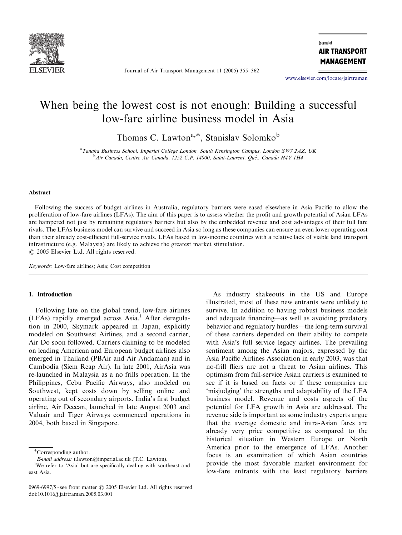

Journal of Air Transport Management 11 (2005) 355–362

lournal of **AIR TRANSPORT MANAGEMENT** 

<www.elsevier.com/locate/jairtraman>

## When being the lowest cost is not enough: Building a successful low-fare airline business model in Asia

Thomas C. Lawton<sup>a,\*</sup>, Stanislav Solomko<sup>b</sup>

<sup>a</sup>Tanaka Business School, Imperial College London, South Kensington Campus, London SW7 2AZ, UK <sup>b</sup> Air Canada, Centre Air Canada, 1252 C.P. 14000, Saint-Laurent, Qué., Canada H4Y 1H4

### Abstract

Following the success of budget airlines in Australia, regulatory barriers were eased elsewhere in Asia Pacific to allow the proliferation of low-fare airlines (LFAs). The aim of this paper is to assess whether the profit and growth potential of Asian LFAs are hampered not just by remaining regulatory barriers but also by the embedded revenue and cost advantages of their full fare rivals. The LFAs business model can survive and succeed in Asia so long as these companies can ensure an even lower operating cost than their already cost-efficient full-service rivals. LFAs based in low-income countries with a relative lack of viable land transport infrastructure (e.g. Malaysia) are likely to achieve the greatest market stimulation.  $\odot$  2005 Elsevier Ltd. All rights reserved.

Keywords: Low-fare airlines; Asia; Cost competition

### 1. Introduction

Following late on the global trend, low-fare airlines (LFAs) rapidly emerged across Asia.<sup>1</sup> After deregulation in 2000, Skymark appeared in Japan, explicitly modeled on Southwest Airlines, and a second carrier, Air Do soon followed. Carriers claiming to be modeled on leading American and European budget airlines also emerged in Thailand (PBAir and Air Andaman) and in Cambodia (Siem Reap Air). In late 2001, AirAsia was re-launched in Malaysia as a no frills operation. In the Philippines, Cebu Pacific Airways, also modeled on Southwest, kept costs down by selling online and operating out of secondary airports. India's first budget airline, Air Deccan, launched in late August 2003 and Valuair and Tiger Airways commenced operations in 2004, both based in Singapore.

As industry shakeouts in the US and Europe illustrated, most of these new entrants were unlikely to survive. In addition to having robust business models and adequate financing—as well as avoiding predatory behavior and regulatory hurdles—the long-term survival of these carriers depended on their ability to compete with Asia's full service legacy airlines. The prevailing sentiment among the Asian majors, expressed by the Asia Pacific Airlines Association in early 2003, was that no-frill fliers are not a threat to Asian airlines. This optimism from full-service Asian carriers is examined to see if it is based on facts or if these companies are 'misjudging' the strengths and adaptability of the LFA business model. Revenue and costs aspects of the potential for LFA growth in Asia are addressed. The revenue side is important as some industry experts argue that the average domesticand intra-Asian fares are already very price competitive as compared to the historical situation in Western Europe or North America prior to the emergence of LFAs. Another focus is an examination of which Asian countries provide the most favorable market environment for low-fare entrants with the least regulatory barriers

Corresponding author.

E-mail address: t.lawton@imperial.ac.uk (T.C. Lawton).

<sup>&</sup>lt;sup>1</sup>We refer to 'Asia' but are specifically dealing with southeast and east Asia.

<sup>0969-6997/\$ -</sup> see front matter  $\odot$  2005 Elsevier Ltd. All rights reserved. doi:10.1016/j.jairtraman.2005.03.001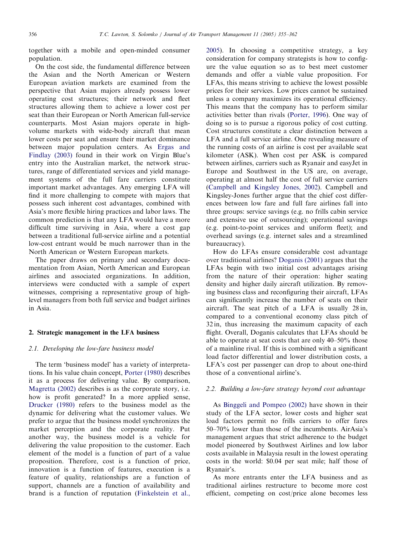together with a mobile and open-minded consumer population.

On the cost side, the fundamental difference between the Asian and the North American or Western European aviation markets are examined from the perspective that Asian majors already possess lower operating cost structures; their network and fleet structures allowing them to achieve a lower cost per seat than their European or North American full-service counterparts. Most Asian majors operate in highvolume markets with wide-body aircraft that mean lower costs per seat and ensure their market dominance between major population centers. As [Ergas and](#page--1-0) [Findlay \(2003\)](#page--1-0) found in their work on Virgin Blue's entry into the Australian market, the network structures, range of differentiated services and yield management systems of the full fare carriers constitute important market advantages. Any emerging LFA will find it more challenging to compete with majors that possess such inherent cost advantages, combined with Asia's more flexible hiring practices and labor laws. The common prediction is that any LFA would have a more difficult time surviving in Asia, where a cost gap between a traditional full-service airline and a potential low-cost entrant would be much narrower than in the North American or Western European markets.

The paper draws on primary and secondary documentation from Asian, North American and European airlines and associated organizations. In addition, interviews were conducted with a sample of expert witnesses, comprising a representative group of highlevel managers from both full service and budget airlines in Asia.

## 2. Strategic management in the LFA business

## 2.1. Developing the low-fare business model

The term 'business model' has a variety of interpretations. In his value chain concept, [Porter \(1980\)](#page--1-0) describes it as a process for delivering value. By comparison, [Magretta \(2002\)](#page--1-0) describes is as the corporate story, i.e. how is profit generated? In a more applied sense, [Drucker \(1980\)](#page--1-0) refers to the business model as the dynamic for delivering what the customer values. We prefer to argue that the business model synchronizes the market perception and the corporate reality. Put another way, the business model is a vehicle for delivering the value proposition to the customer. Each element of the model is a function of part of a value proposition. Therefore, cost is a function of price, innovation is a function of features, execution is a feature of quality, relationships are a function of support, channels are a function of availability and brand is a function of reputation [\(Finkelstein et al.,](#page--1-0)

[2005](#page--1-0)). In choosing a competitive strategy, a key consideration for company strategists is how to configure the value equation so as to best meet customer demands and offer a viable value proposition. For LFAs, this means striving to achieve the lowest possible prices for their services. Low prices cannot be sustained unless a company maximizes its operational efficiency. This means that the company has to perform similar activities better than rivals [\(Porter, 1996](#page--1-0)). One way of doing so is to pursue a rigorous policy of cost cutting. Cost structures constitute a clear distinction between a LFA and a full service airline. One revealing measure of the running costs of an airline is cost per available seat kilometer (ASK). When cost per ASK is compared between airlines, carriers such as Ryanair and easyJet in Europe and Southwest in the US are, on average, operating at almost half the cost of full service carriers ([Campbell and Kingsley Jones, 2002\)](#page--1-0). Campbell and Kingsley-Jones further argue that the chief cost differences between low fare and full fare airlines fall into three groups: service savings (e.g. no frills cabin service and extensive use of outsourcing); operational savings (e.g. point-to-point services and uniform fleet); and overhead savings (e.g. internet sales and a streamlined bureaucracy).

How do LFAs ensure considerable cost advantage over traditional airlines? [Doganis \(2001\)](#page--1-0) argues that the LFAs begin with two initial cost advantages arising from the nature of their operation: higher seating density and higher daily aircraft utilization. By removing business class and reconfiguring their aircraft, LFAs can significantly increase the number of seats on their aircraft. The seat pitch of a LFA is usually 28 in, compared to a conventional economy class pitch of 32 in, thus increasing the maximum capacity of each flight. Overall, Doganis calculates that LFAs should be able to operate at seat costs that are only 40–50% those of a mainline rival. If this is combined with a significant load factor differential and lower distribution costs, a LFA's cost per passenger can drop to about one-third those of a conventional airline's.

#### 2.2. Building a low-fare strategy beyond cost advantage

As [Binggeli and Pompeo \(2002\)](#page--1-0) have shown in their study of the LFA sector, lower costs and higher seat load factors permit no frills carriers to offer fares 50–70% lower than those of the incumbents. AirAsia's management argues that strict adherence to the budget model pioneered by Southwest Airlines and low labor costs available in Malaysia result in the lowest operating costs in the world: \$0.04 per seat mile; half those of Ryanair's.

As more entrants enter the LFA business and as traditional airlines restructure to become more cost efficient, competing on cost/price alone becomes less